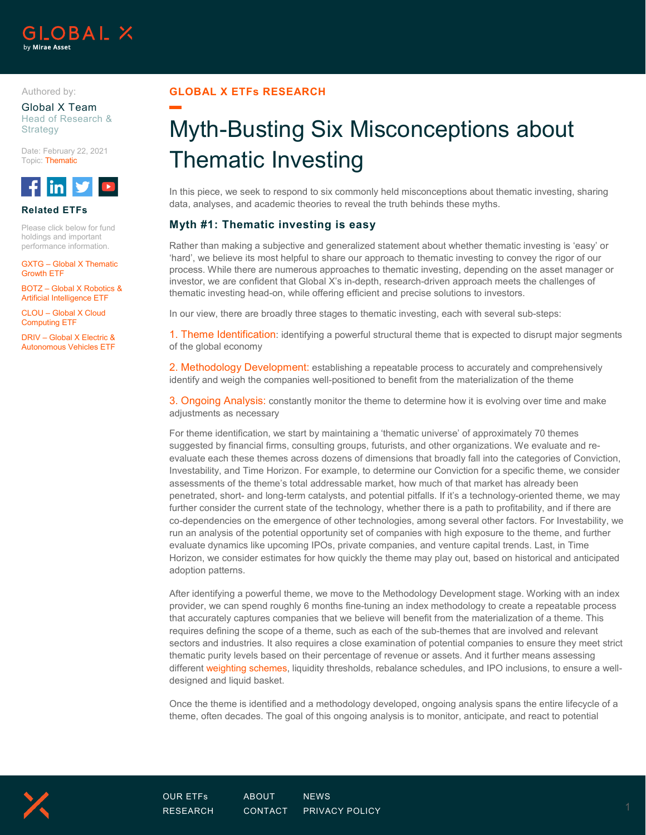

#### Authored by:

Global X Team Head of Research & Strategy

Date: February 22, 2021 Topic: Thematic



### **Related ETFs**

Please click below for fund holdings and important performance information.

GXTG – Global X Thematic Growth ETF

BOTZ – Global X Robotics & Artificial Intelligence ETF

CLOU – Glob[al X Cl](https://twitter.com/globalxetfs)o[ud](https://www.youtube.com/globalxetfs)  [Comp](https://www.facebook.com/globalxetfs)[uting E](https://www.linkedin.com/company/globalxetfs/)TF

DRIV – Global X Electric & Autonomous Vehicles ETF

### **GLOBAL X ETFs RESEARCH**

# Myth-Busting Six Misconceptions about Thematic Investing

In this piece, we seek to respond to six commonly held misconceptions about thematic investing, sharing data, analyses, and academic theories to reveal the truth behinds these myths.

### **Myth #1: Thematic investing is easy**

Rather than making a subjective and generalized statement about whether thematic investing is 'easy' or 'hard', we believe its most helpful to share our approach to thematic investing to convey the rigor of our process. While there are numerous approaches to thematic investing, depending on the asset manager or investor, we are confident that Global X's in-depth, research-driven approach meets the challenges of thematic investing head-on, while offering efficient and precise solutions to investors.

In our view, there are broadly three stages to thematic investing, each with several sub-steps:

1. Theme Identification: identifying a powerful structural theme that is expected to disrupt major segments of the global economy

2. Methodology Development: establishing a repeatable process to accurately and comprehensively identify and weigh the companies well-positioned to benefit from the materialization of the theme

3. Ongoing Analysis: constantly monitor the theme to determine how it is evolving over time and make adjustments as necessary

For theme identification, we start by maintaining a 'thematic universe' of approximately 70 themes suggested by financial firms, consulting groups, futurists, and other organizations. We evaluate and reevaluate each these themes across dozens of dimensions that broadly fall into the categories of Conviction, Investability, and Time Horizon. For example, to determine our Conviction for a specific theme, we consider assessments of the theme's total addressable market, how much of that market has already been penetrated, short- and long-term catalysts, and potential pitfalls. If it's a technology-oriented theme, we may further consider the current state of the technology, whether there is a path to profitability, and if there are co-dependencies on the emergence of other technologies, among several other factors. For Investability, we run an analysis of the potential opportunity set of companies with high exposure to the theme, and further evaluate dynamics like upcoming IPOs, private companies, and venture capital trends. Last, in Time Horizon, we consider estimates for how quickly the theme may play out, based on historical and anticipated adoption patterns.

After identifying a powerful theme, we move to the Methodology Development stage. Working with an index provider, we can spend roughly 6 months fine-tuning an index methodology to create a repeatable process that accurately captures companies that we believe will benefit from the materialization of a theme. This requires defining the scope of a theme, such as each of the sub-themes that are involved and relevant sectors and industries. It also requires a close examination of potential companies to ensure they meet strict thematic purity levels based on their percentage of revenue or assets. And it further means assessing differen[t weighting schemes,](https://www.globalxetfs.com/great-index-weight-debate/) liquidity thresholds, rebalance schedules, and IPO inclusions, to ensure a welldesigned and liquid basket.

Once the theme is identified and a methodology developed, ongoing analysis spans the entire lifecycle of a theme, often decades. The goal of this ongoing analysis is to monitor, anticipate, and react to potential

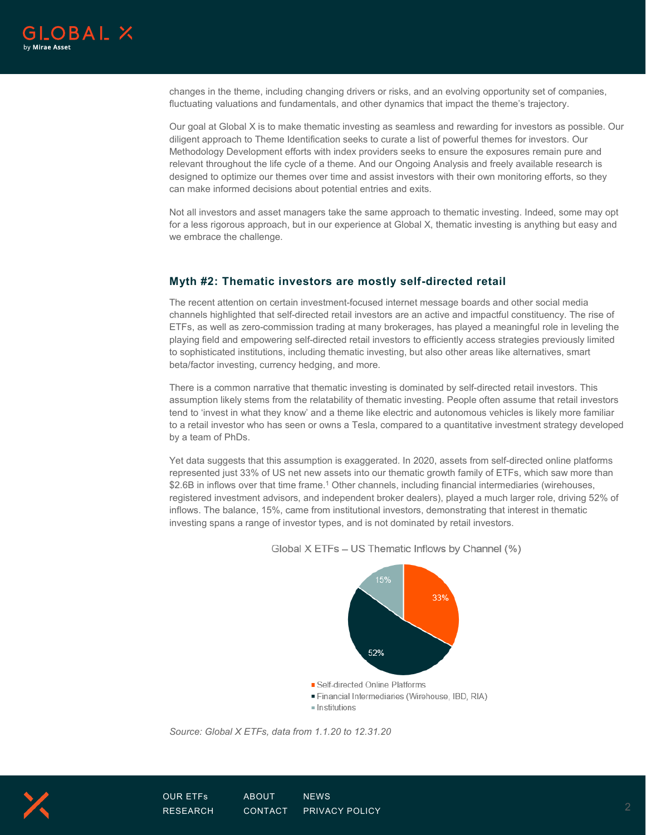

changes in the theme, including changing drivers or risks, and an evolving opportunity set of companies, fluctuating valuations and fundamentals, and other dynamics that impact the theme's trajectory.

Our goal at Global X is to make thematic investing as seamless and rewarding for investors as possible. Our diligent approach to Theme Identification seeks to curate a list of powerful themes for investors. Our Methodology Development efforts with index providers seeks to ensure the exposures remain pure and relevant throughout the life cycle of a theme. And our Ongoing Analysis and freely available research is designed to optimize our themes over time and assist investors with their own monitoring efforts, so they can make informed decisions about potential entries and exits.

Not all investors and asset managers take the same approach to thematic investing. Indeed, some may opt for a less rigorous approach, but in our experience at Global X, thematic investing is anything but easy and we embrace the challenge.

### **Myth #2: Thematic investors are mostly self-directed retail**

The recent attention on certain investment-focused internet message boards and other social media channels highlighted that self-directed retail investors are an active and impactful constituency. The rise of ETFs, as well as zero-commission trading at many brokerages, has played a meaningful role in leveling the playing field and empowering self-directed retail investors to efficiently access strategies previously limited to sophisticated institutions, including thematic investing, but also other areas like alternatives, smart beta/factor investing, currency hedging, and more.

There is a common narrative that thematic investing is dominated by self-directed retail investors. This assumption likely stems from the relatability of thematic investing. People often assume that retail investors tend to 'invest in what they know' and a theme like electric and autonomous vehicles is likely more familiar to a retail investor who has seen or owns a Tesla, compared to a quantitative investment strategy developed by a team of PhDs.

Yet data suggests that this assumption is exaggerated. In 2020, assets from self-directed online platforms represented just 33% of US net new assets into our thematic growth family of ETFs, which saw more than \$2.6B in inflows over that time frame.<sup>1</sup> Other channels, including financial intermediaries (wirehouses, registered investment advisors, and independent broker dealers), played a much larger role, driving 52% of inflows. The balance, 15%, came from institutional investors, demonstrating that interest in thematic investing spans a range of investor types, and is not dominated by retail investors.



Global X ETFs - US Thematic Inflows by Channel (%)

*Source: Global X ETFs, data from 1.1.20 to 12.31.20*

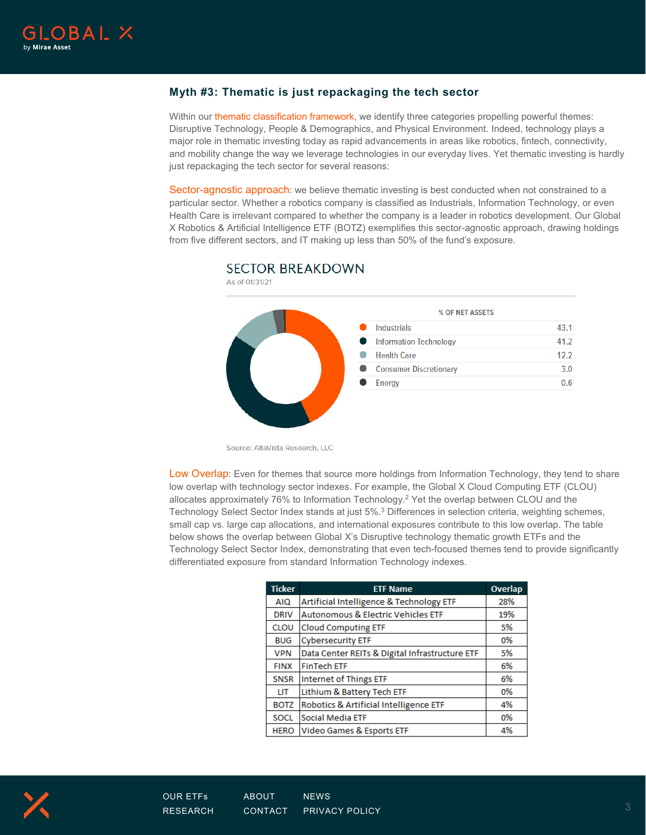## **Myth #3: Thematic is just repackaging the tech sector**

Within ou[r thematic classification framework,](https://www.globalxetfs.com/content/files/Thematic-ETF-Report-Q4-2020.pdf) we identify three categories propelling powerful themes: Disruptive Technology, People & Demographics, and Physical Environment. Indeed, technology plays a major role in thematic investing today as rapid advancements in areas like robotics, fintech, connectivity, and mobility change the way we leverage technologies in our everyday lives. Yet thematic investing is hardly just repackaging the tech sector for several reasons:

Sector-agnostic approach: we believe thematic investing is best conducted when not constrained to a particular sector. Whether a robotics company is classified as Industrials, Information Technology, or even Health Care is irrelevant compared to whether the company is a leader in robotics development. Our Global X Robotics & Artificial Intelligence ETF (BOTZ) exemplifies this sector-agnostic approach, drawing holdings from five different sectors, and IT making up less than 50% of the fund's exposure.



# **SECTOR BREAKDOWN**

Source: AltaVista Research, LLC

Low Overlap: Even for themes that source more holdings from Information Technology, they tend to share low overlap with technology sector indexes. For example, the Global X Cloud Computing ETF (CLOU) allocates approximately 76% to Information Technology.2 Yet the overlap between CLOU and the Technology Select Sector Index stands at just 5%.3 Differences in selection criteria, weighting schemes, small cap vs. large cap allocations, and international exposures contribute to this low overlap. The table below shows the overlap between Global X's Disruptive technology thematic growth ETFs and the Technology Select Sector Index, demonstrating that even tech-focused themes tend to provide significantly differentiated exposure from standard Information Technology indexes.

| <b>Ticker</b> | <b>ETF Name</b>                                | Overlap |
|---------------|------------------------------------------------|---------|
| <b>AIQ</b>    | Artificial Intelligence & Technology ETF       | 28%     |
| <b>DRIV</b>   | <b>Autonomous &amp; Electric Vehicles ETF</b>  | 19%     |
| <b>CLOU</b>   | <b>Cloud Computing ETF</b>                     | 5%      |
| <b>BUG</b>    | <b>Cybersecurity ETF</b>                       | 0%      |
| <b>VPN</b>    | Data Center REITs & Digital Infrastructure ETF | 5%      |
| <b>FINX</b>   | <b>FinTech ETF</b>                             | 6%      |
| <b>SNSR</b>   | Internet of Things ETF                         | 6%      |
| LIT           | Lithium & Battery Tech ETF                     | 0%      |
| <b>BOTZ</b>   | Robotics & Artificial Intelligence ETF         | 4%      |
| <b>SOCL</b>   | Social Media ETF                               | 0%      |
| <b>HERO</b>   | Video Games & Esports ETF                      | 4%      |

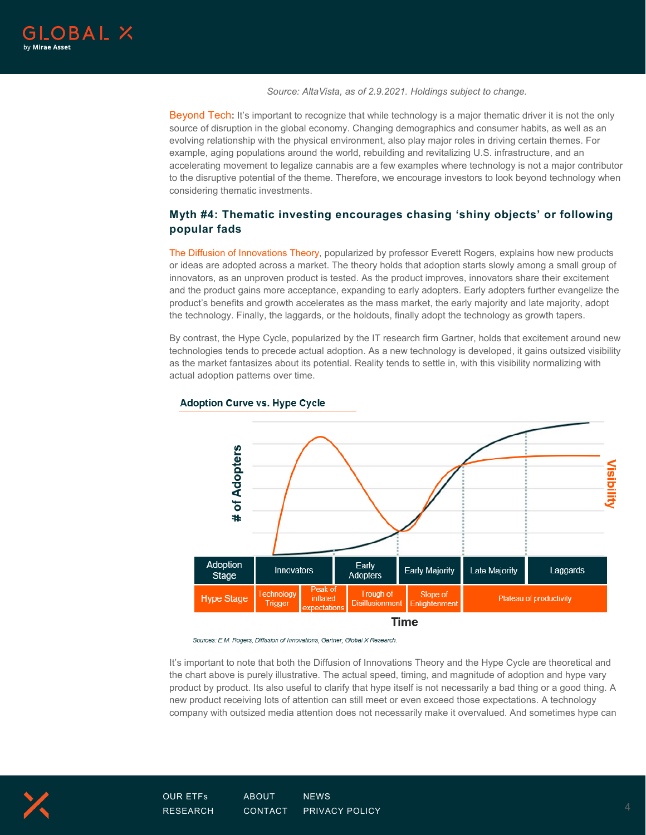

*Source: AltaVista, as of 2.9.2021. Holdings subject to change.*

Beyond Tech**:** It's important to recognize that while technology is a major thematic driver it is not the only source of disruption in the global economy. Changing demographics and consumer habits, as well as an evolving relationship with the physical environment, also play major roles in driving certain themes. For example, aging populations around the world, rebuilding and revitalizing U.S. infrastructure, and an accelerating movement to legalize cannabis are a few examples where technology is not a major contributor to the disruptive potential of the theme. Therefore, we encourage investors to look beyond technology when considering thematic investments.

# **Myth #4: Thematic investing encourages chasing 'shiny objects' or following popular fads**

[The Diffusion of Innovations Theory,](https://www.globalxetfs.com/what-does-disruptive-growth-look-like/) popularized by professor Everett Rogers, explains how new products or ideas are adopted across a market. The theory holds that adoption starts slowly among a small group of innovators, as an unproven product is tested. As the product improves, innovators share their excitement and the product gains more acceptance, expanding to early adopters. Early adopters further evangelize the product's benefits and growth accelerates as the mass market, the early majority and late majority, adopt the technology. Finally, the laggards, or the holdouts, finally adopt the technology as growth tapers.

By contrast, the Hype Cycle, popularized by the IT research firm Gartner, holds that excitement around new technologies tends to precede actual adoption. As a new technology is developed, it gains outsized visibility as the market fantasizes about its potential. Reality tends to settle in, with this visibility normalizing with actual adoption patterns over time.



### **Adoption Curve vs. Hype Cycle**

Sources: E.M. Rogers, Diffusion of Innovations, Gartner, Global X Research.

It's important to note that both the Diffusion of Innovations Theory and the Hype Cycle are theoretical and the chart above is purely illustrative. The actual speed, timing, and magnitude of adoption and hype vary product by product. Its also useful to clarify that hype itself is not necessarily a bad thing or a good thing. A new product receiving lots of attention can still meet or even exceed those expectations. A technology company with outsized media attention does not necessarily make it overvalued. And sometimes hype can

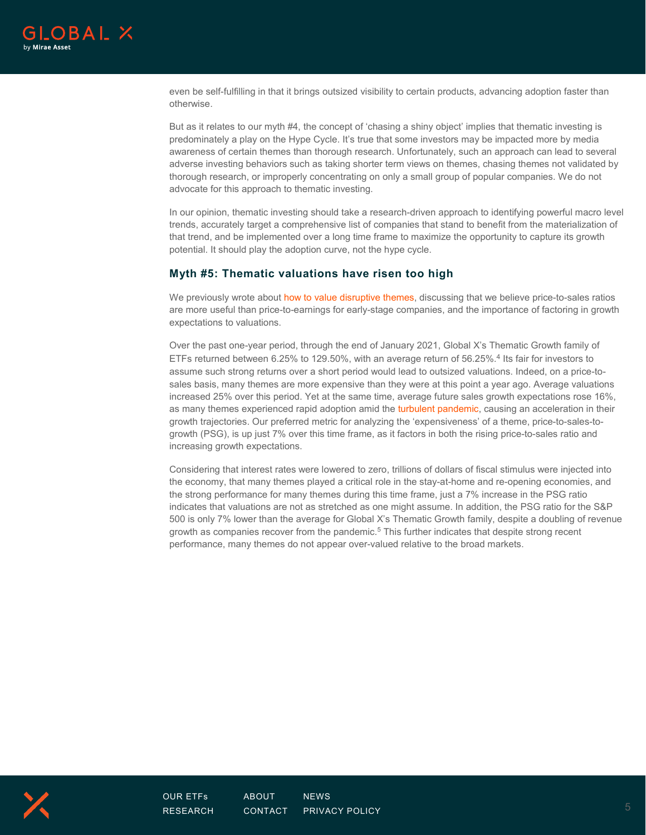

even be self-fulfilling in that it brings outsized visibility to certain products, advancing adoption faster than otherwise.

But as it relates to our myth #4, the concept of 'chasing a shiny object' implies that thematic investing is predominately a play on the Hype Cycle. It's true that some investors may be impacted more by media awareness of certain themes than thorough research. Unfortunately, such an approach can lead to several adverse investing behaviors such as taking shorter term views on themes, chasing themes not validated by thorough research, or improperly concentrating on only a small group of popular companies. We do not advocate for this approach to thematic investing.

In our opinion, thematic investing should take a research-driven approach to identifying powerful macro level trends, accurately target a comprehensive list of companies that stand to benefit from the materialization of that trend, and be implemented over a long time frame to maximize the opportunity to capture its growth potential. It should play the adoption curve, not the hype cycle.

### **Myth #5: Thematic valuations have risen too high**

We previously wrote about [how to value disruptive themes,](https://www.globalxetfs.com/how-to-value-disruptive-themes/) discussing that we believe price-to-sales ratios are more useful than price-to-earnings for early-stage companies, and the importance of factoring in growth expectations to valuations.

Over the past one-year period, through the end of January 2021, Global X's Thematic Growth family of ETFs returned between 6.25% to 129.50%, with an average return of 56.25%.<sup>4</sup> Its fair for investors to assume such strong returns over a short period would lead to outsized valuations. Indeed, on a price-tosales basis, many themes are more expensive than they were at this point a year ago. Average valuations increased 25% over this period. Yet at the same time, average future sales growth expectations rose 16%, as many themes experienced rapid adoption amid the [turbulent pandemic,](https://www.globalxetfs.com/webinar-replay-thematic-investing-and-the-stay-at-home-economy/) causing an acceleration in their growth trajectories. Our preferred metric for analyzing the 'expensiveness' of a theme, price-to-sales-togrowth (PSG), is up just 7% over this time frame, as it factors in both the rising price-to-sales ratio and increasing growth expectations.

Considering that interest rates were lowered to zero, trillions of dollars of fiscal stimulus were injected into the economy, that many themes played a critical role in the stay-at-home and re-opening economies, and the strong performance for many themes during this time frame, just a 7% increase in the PSG ratio indicates that valuations are not as stretched as one might assume. In addition, the PSG ratio for the S&P 500 is only 7% lower than the average for Global X's Thematic Growth family, despite a doubling of revenue growth as companies recover from the pandemic.<sup>5</sup> This further indicates that despite strong recent performance, many themes do not appear over-valued relative to the broad markets.



[RESEARCH](https://www.globalxetfs.com/research/) [CONTACT](https://www.globalxetfs.com/contact/) [PRIVACY POLICY](https://www.globalxetfs.com/privacy/)  $5$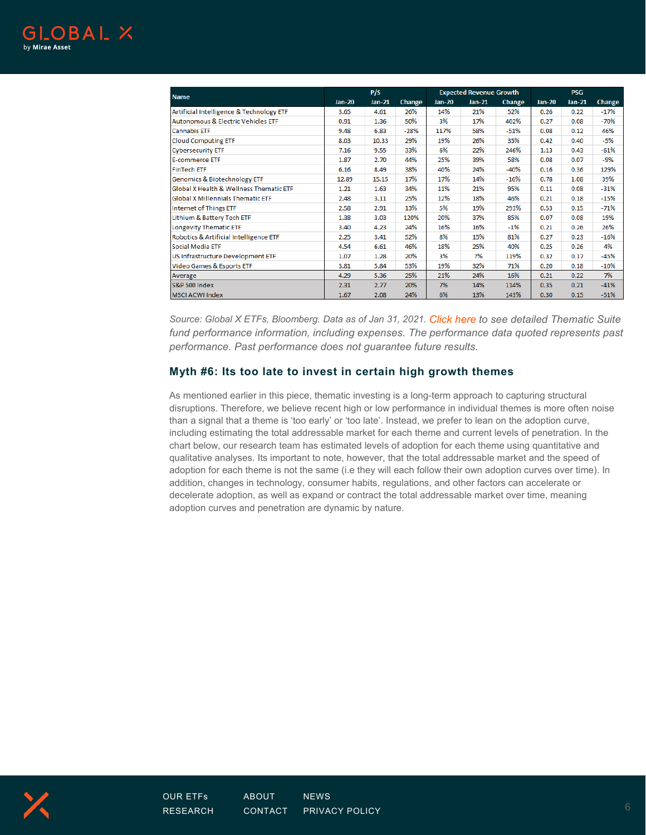|                                               |          | P/S           |        |               | <b>Expected Revenue Growth</b> |        |               | <b>PSG</b> |        |  |
|-----------------------------------------------|----------|---------------|--------|---------------|--------------------------------|--------|---------------|------------|--------|--|
| <b>Name</b>                                   | $Jan-20$ | <b>Jan-21</b> | Change | <b>Jan-20</b> | <b>Jan-21</b>                  | Change | <b>Jan-20</b> | $Jan-21$   | Change |  |
| Artificial Intelligence & Technology ETF      | 3.65     | 4.61          | 26%    | 14%           | 21%                            | 52%    | 0.26          | 0.22       | $-17%$ |  |
| <b>Autonomous &amp; Electric Vehicles ETF</b> | 0.91     | 1.36          | 50%    | 3%            | 17%                            | 402%   | 0.27          | 0.08       | $-70%$ |  |
| <b>Cannabis ETF</b>                           | 9.48     | 6.83          | $-28%$ | 117%          | 58%                            | $-51%$ | 0.08          | 0.12       | 46%    |  |
| <b>Cloud Computing ETF</b>                    | 8.03     | 10.33         | 29%    | 19%           | 26%                            | 35%    | 0.42          | 0.40       | $-5%$  |  |
| <b>Cybersecurity ETF</b>                      | 7.16     | 9.55          | 33%    | 6%            | 22%                            | 246%   | 1.13          | 0.43       | $-61%$ |  |
| <b>E-commerce ETF</b>                         | 1.87     | 2.70          | 44%    | 25%           | 39%                            | 58%    | 0.08          | 0.07       | -9%    |  |
| <b>FinTech ETF</b>                            | 6.16     | 8.49          | 38%    | 40%           | 24%                            | $-40%$ | 0.16          | 0.36       | 129%   |  |
| Genomics & Biotechnology ETF                  | 12.89    | 15.15         | 17%    | 17%           | 14%                            | $-16%$ | 0.78          | 1.08       | 39%    |  |
| Global X Health & Wellness Thematic ETF       | 1.21     | 1.63          | 34%    | 11%           | 21%                            | 95%    | 0.11          | 0.08       | $-31%$ |  |
| <b>Global X Millennials Thematic ETF</b>      | 2.48     | 3.11          | 25%    | 12%           | 18%                            | 46%    | 0.21          | 0.18       | $-15%$ |  |
| <b>Internet of Things ETF</b>                 | 2.58     | 2.91          | 13%    | 5%            | 19%                            | 293%   | 0.53          | 0.15       | $-71%$ |  |
| Lithium & Battery Tech ETF                    | 1.38     | 3.03          | 120%   | 20%           | 37%                            | 85%    | 0.07          | 0.08       | 19%    |  |
| Longevity Thematic ETF                        | 3.40     | 4.23          | 24%    | 16%           | 16%                            | $-1%$  | 0.21          | 0.26       | 26%    |  |
| Robotics & Artificial Intelligence ETF        | 2.25     | 3.41          | 52%    | 8%            | 15%                            | 81%    | 0.27          | 0.23       | $-16%$ |  |
| Social Media ETF                              | 4.54     | 6.61          | 46%    | 18%           | 25%                            | 40%    | 0.25          | 0.26       | 4%     |  |
| US Infrastructure Development ETF             | 1.07     | 1.28          | 20%    | 3%            | 7%                             | 119%   | 0.32          | 0.17       | -45%   |  |
| Video Games & Esports ETF                     | 3.81     | 5.84          | 53%    | 19%           | 32%                            | 71%    | 0.20          | 0.18       | $-10%$ |  |
| Average                                       | 4.29     | 5.36          | 25%    | 21%           | 24%                            | 16%    | 0.21          | 0.22       | 7%     |  |
| <b>S&amp;P 500 Index</b>                      | 2.31     | 2.77          | 20%    | 7%            | 14%                            | 114%   | 0.35          | 0.21       | $-41%$ |  |
| <b>MSCI ACWI Index</b>                        | 1.67     | 2.08          | 24%    | 6%            | 13%                            | 143%   | 0.30          | 0.15       | $-51%$ |  |

*Source: Global X ETFs, Bloomberg. Data as of Jan 31, 2021. [Click here](https://www.globalxetfs.com/explore/) to see detailed Thematic Suite*  fund performance information, including expenses. The performance data quoted represents past *performance. Past performance does not guarantee future results.*

### **Myth #6: Its too late to invest in certain high growth themes**

As mentioned earlier in this piece, thematic investing is a long-term approach to capturing structural disruptions. Therefore, we believe recent high or low performance in individual themes is more often noise than a signal that a theme is 'too early' or 'too late'. Instead, we prefer to lean on the adoption curve, including estimating the total addressable market for each theme and current levels of penetration. In the chart below, our research team has estimated levels of adoption for each theme using quantitative and qualitative analyses. Its important to note, however, that the total addressable market and the speed of adoption for each theme is not the same (i.e they will each follow their own adoption curves over time). In addition, changes in technology, consumer habits, regulations, and other factors can accelerate or decelerate adoption, as well as expand or contract the total addressable market over time, meaning adoption curves and penetration are dynamic by nature.

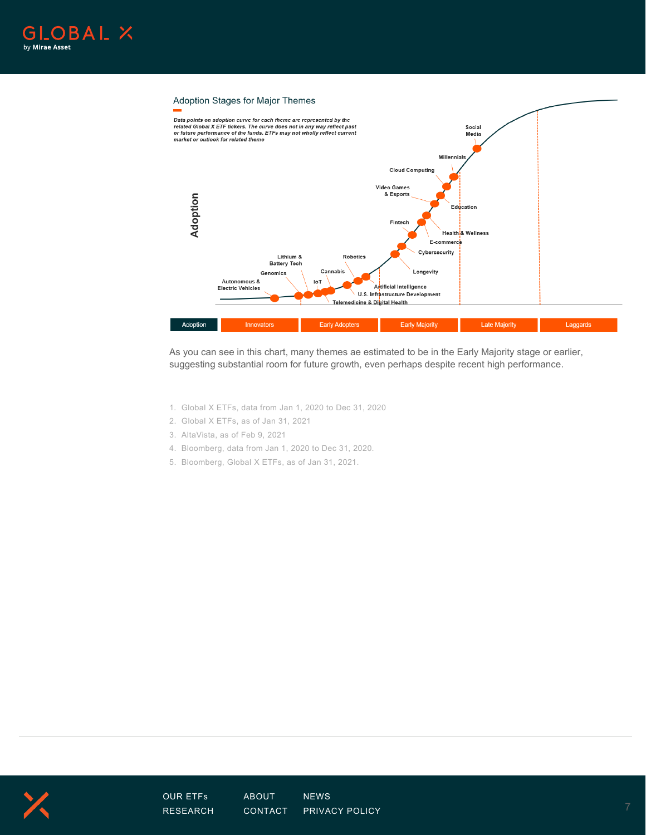



As you can see in this chart, many themes ae estimated to be in the Early Majority stage or earlier, suggesting substantial room for future growth, even perhaps despite recent high performance.

- 1. Global X ETFs, data from Jan 1, 2020 to Dec 31, 2020
- 2. Global X ETFs, as of Jan 31, 2021
- 3. AltaVista, as of Feb 9, 2021
- 4. Bloomberg, data from Jan 1, 2020 to Dec 31, 2020.
- 5. Bloomberg, Global X ETFs, as of Jan 31, 2021.